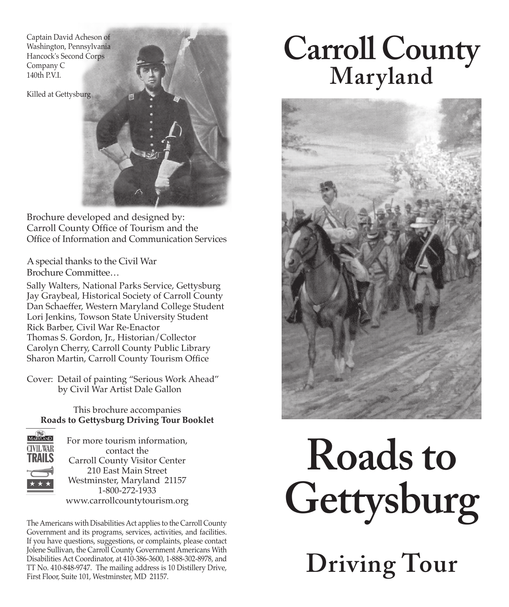Captain David Acheson of Washington, Pennsylvania Hancock's Second Corps Company C 140th P.V.I.

Killed at Gettysburg

Brochure developed and designed by: Carroll County Office of Tourism and the Office of Information and Communication Services

A special thanks to the Civil War Brochure Committee…

Sally Walters, National Parks Service, Gettysburg Jay Graybeal, Historical Society of Carroll County Dan Schaeffer, Western Maryland College Student Lori Jenkins, Towson State University Student Rick Barber, Civil War Re-Enactor Thomas S. Gordon, Jr., Historian/Collector Carolyn Cherry, Carroll County Public Library Sharon Martin, Carroll County Tourism Office

Cover: Detail of painting "Serious Work Ahead" by Civil War Artist Dale Gallon

This brochure accompanies **Roads to Gettysburg Driving Tour Booklet**



For more tourism information, contact the Carroll County Visitor Center 210 East Main Street Westminster, Maryland 21157 1-800-272-1933 www.carrollcountytourism.org

The Americans with Disabilities Act applies to the Carroll County Government and its programs, services, activities, and facilities. If you have questions, suggestions, or complaints, please contact Jolene Sullivan, the Carroll County Government Americans With Disabilities Act Coordinator, at 410-386-3600, 1-888-302-8978, and TT No. 410-848-9747. The mailing address is 10 Distillery Drive, First Floor, Suite 101, Westminster, MD 21157.

# **Carroll County Maryland**



## **Roads to Gettysburg**

**Driving Tour**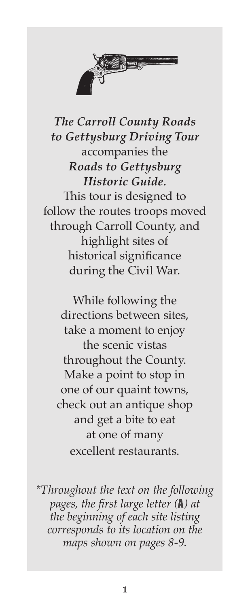

*The Carroll County Roads to Gettysburg Driving Tour*  accompanies the *Roads to Gettysburg Historic Guide.* This tour is designed to follow the routes troops moved through Carroll County, and

highlight sites of historical significance during the Civil War.

While following the directions between sites, take a moment to enjoy the scenic vistas throughout the County. Make a point to stop in one of our quaint towns, check out an antique shop and get a bite to eat at one of many excellent restaurants.

*\*Throughout the text on the following pages, the first large letter (***A***) at the beginning of each site listing corresponds to its location on the maps shown on pages 8-9.*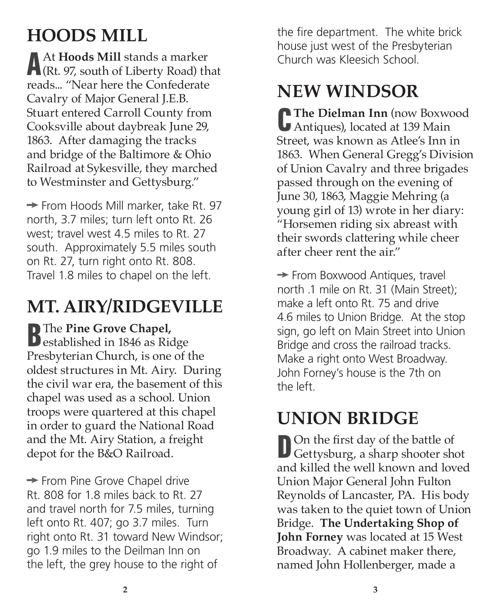## **HOODS MILL**

**A**At **Hoods Mill** stands a marker (Rt. 97, south of Liberty Road) that reads... "Near here the Confederate Cavalry of Major General J.E.B. Stuart entered Carroll County from Cooksville about daybreak June 29, 1863. After damaging the tracks and bridge of the Baltimore & Ohio Railroad at Sykesville, they marched to Westminster and Gettysburg."

 $\rightarrow$  From Hoods Mill marker, take Rt. 97 north, 3.7 miles; turn left onto Rt. 26 west; travel west 4.5 miles to Rt. 27 south. Approximately 5.5 miles south on Rt. 27, turn right onto Rt. 808. Travel 1.8 miles to chapel on the left.

## **MT. AIRY/RIDGEVILLE**

**B**The **Pine Grove Chapel**,<br> **established in 1846 as Ridge** Presbyterian Church, is one of the oldest structures in Mt. Airy. During the civil war era, the basement of this chapel was used as a school. Union troops were quartered at this chapel in order to guard the National Road and the Mt. Airy Station, a freight depot for the B&O Railroad.

 $\rightarrow$  From Pine Grove Chapel drive Rt. 808 for 1.8 miles back to Rt. 27 and travel north for 7.5 miles, turning left onto Rt. 407; go 3.7 miles. Turn right onto Rt. 31 toward New Windsor; go 1.9 miles to the Deilman Inn on the left, the grey house to the right of

the fire department. The white brick house just west of the Presbyterian Church was Kleesich School.

## **NEW WINDSOR**

**CThe Dielman Inn** (now Boxwood Antiques), located at 139 Main Street, was known as Atlee's Inn in 1863. When General Gregg's Division of Union Cavalry and three brigades passed through on the evening of June 30, 1863, Maggie Mehring (a young girl of 13) wrote in her diary: "Horsemen riding six abreast with their swords clattering while cheer after cheer rent the air."

 $\rightarrow$  From Boxwood Antiques, travel north .1 mile on Rt. 31 (Main Street); make a left onto Rt. 75 and drive 4.6 miles to Union Bridge. At the stop sign, go left on Main Street into Union Bridge and cross the railroad tracks. Make a right onto West Broadway. John Forney's house is the 7th on the left.

## **UNION BRIDGE**

**D**On the first day of the battle of Gettysburg, a sharp shooter shot and killed the well known and loved Union Major General John Fulton Reynolds of Lancaster, PA. His body was taken to the quiet town of Union Bridge. **The Undertaking Shop of John Forney** was located at 15 West Broadway. A cabinet maker there, named John Hollenberger, made a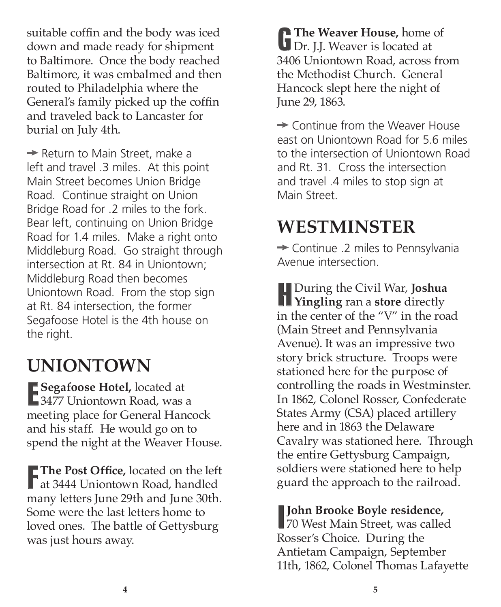suitable coffin and the body was iced down and made ready for shipment to Baltimore. Once the body reached Baltimore, it was embalmed and then routed to Philadelphia where the General's family picked up the coffin and traveled back to Lancaster for burial on July 4th.

 $\rightarrow$  Return to Main Street, make a left and travel .3 miles. At this point Main Street becomes Union Bridge Road. Continue straight on Union Bridge Road for .2 miles to the fork. Bear left, continuing on Union Bridge Road for 1.4 miles. Make a right onto Middleburg Road. Go straight through intersection at Rt. 84 in Uniontown; Middleburg Road then becomes Uniontown Road. From the stop sign at Rt. 84 intersection, the former Segafoose Hotel is the 4th house on the right.

## **UNIONTOWN**

**E** Segafoose Hotel, located at 3477 Uniontown Road, was a **E** Segafoose Hotel, located at meeting place for General Hancock and his staff. He would go on to spend the night at the Weaver House.

**F** The Post Office, located on the left at 3444 Uniontown Road, handled **The Post Office,** located on the left many letters June 29th and June 30th. Some were the last letters home to loved ones. The battle of Gettysburg was just hours away.

**GThe Weaver House,** home of Dr. J.J. Weaver is located at 3406 Uniontown Road, across from the Methodist Church. General Hancock slept here the night of June 29, 1863.

 $\rightarrow$  Continue from the Weaver House east on Uniontown Road for 5.6 miles to the intersection of Uniontown Road and Rt. 31. Cross the intersection and travel .4 miles to stop sign at Main Street.

## **WESTMINSTER**

 $\rightarrow$  Continue .2 miles to Pennsylvania Avenue intersection.

**H**During the Civil War, **Joshua Yingling** ran a **store** directly in the center of the "V" in the road (Main Street and Pennsylvania Avenue). It was an impressive two story brick structure. Troops were stationed here for the purpose of controlling the roads in Westminster. In 1862, Colonel Rosser, Confederate States Army (CSA) placed artillery here and in 1863 the Delaware Cavalry was stationed here. Through the entire Gettysburg Campaign, soldiers were stationed here to help guard the approach to the railroad.

### **John Brooke Boyle residence,**

**I**<br>
70 West Main Street, was called Rosser's Choice. During the Antietam Campaign, September 11th, 1862, Colonel Thomas Lafayette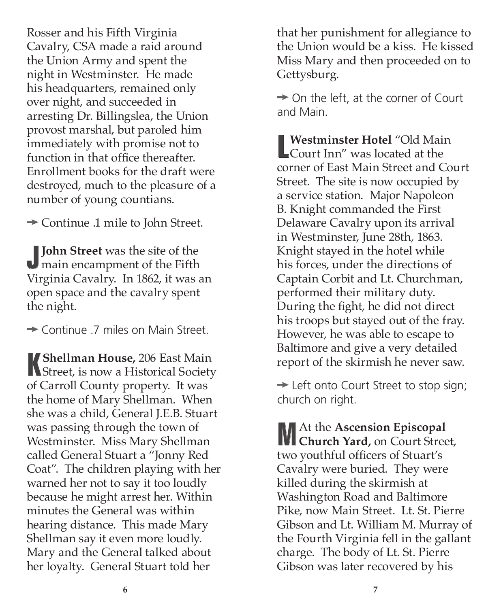Rosser and his Fifth Virginia Cavalry, CSA made a raid around the Union Army and spent the night in Westminster. He made his headquarters, remained only over night, and succeeded in arresting Dr. Billingslea, the Union provost marshal, but paroled him immediately with promise not to function in that office thereafter. Enrollment books for the draft were destroyed, much to the pleasure of a number of young countians.

 $\rightarrow$  Continue .1 mile to John Street.

**JJohn Street** was the site of the main encampment of the Fifth Virginia Cavalry. In 1862, it was an open space and the cavalry spent the night.

 $\rightarrow$  Continue .7 miles on Main Street.

**KShellman House,** 206 East Main **Next** Street, is now a Historical Society of Carroll County property. It was the home of Mary Shellman. When she was a child, General J.E.B. Stuart was passing through the town of Westminster. Miss Mary Shellman called General Stuart a "Jonny Red Coat". The children playing with her warned her not to say it too loudly because he might arrest her. Within minutes the General was within hearing distance. This made Mary Shellman say it even more loudly. Mary and the General talked about her loyalty. General Stuart told her

that her punishment for allegiance to the Union would be a kiss. He kissed Miss Mary and then proceeded on to Gettysburg.

 $\rightarrow$  On the left, at the corner of Court and Main.

**L**<br> **L**<br> **Court Inn''** was located at the **Westminster Hotel** "Old Main corner of East Main Street and Court Street. The site is now occupied by a service station. Major Napoleon B. Knight commanded the First Delaware Cavalry upon its arrival in Westminster, June 28th, 1863. Knight stayed in the hotel while his forces, under the directions of Captain Corbit and Lt. Churchman, performed their military duty. During the fight, he did not direct his troops but stayed out of the fray. However, he was able to escape to Baltimore and give a very detailed report of the skirmish he never saw.

 $\rightarrow$  Left onto Court Street to stop sign; church on right.

**M**At the **Ascension Episcopal Church Yard,** on Court Street, two youthful officers of Stuart's Cavalry were buried. They were killed during the skirmish at Washington Road and Baltimore Pike, now Main Street. Lt. St. Pierre Gibson and Lt. William M. Murray of the Fourth Virginia fell in the gallant charge. The body of Lt. St. Pierre Gibson was later recovered by his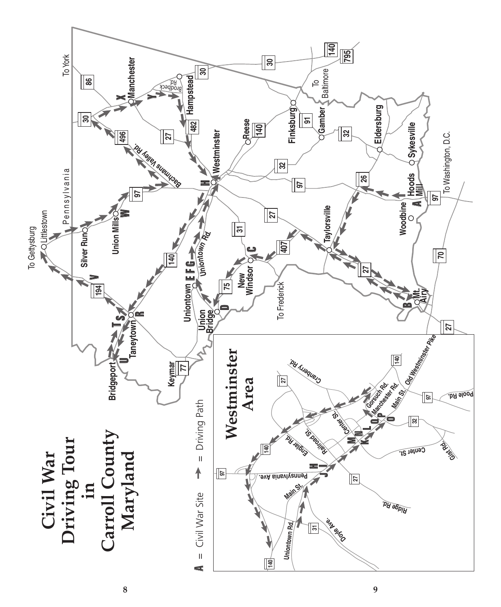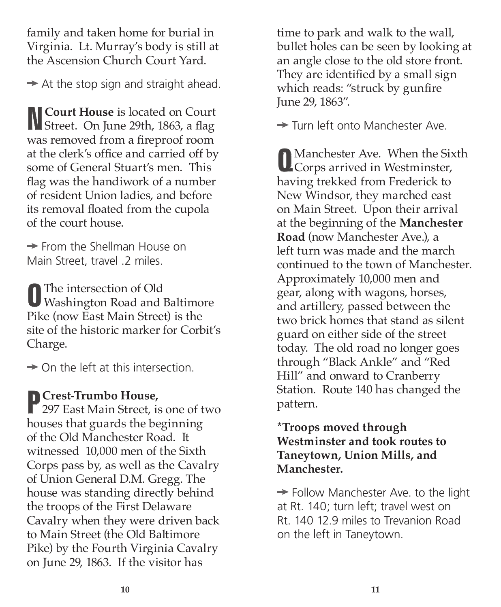family and taken home for burial in Virginia. Lt. Murray's body is still at the Ascension Church Court Yard.

 $\rightarrow$  At the stop sign and straight ahead.

**NCourt House** is located on Court Street. On June 29th, 1863, a flag was removed from a fireproof room at the clerk's office and carried off by some of General Stuart's men. This flag was the handiwork of a number of resident Union ladies, and before its removal floated from the cupola of the court house.

 $\rightarrow$  From the Shellman House on Main Street, travel .2 miles.

**O**The intersection of Old Washington Road and Baltimore Pike (now East Main Street) is the site of the historic marker for Corbit's Charge.

 $\rightarrow$  On the left at this intersection.

**PCrest-Trumbo House,** 297 East Main Street, is one of two houses that guards the beginning of the Old Manchester Road. It witnessed 10,000 men of the Sixth Corps pass by, as well as the Cavalry of Union General D.M. Gregg. The house was standing directly behind the troops of the First Delaware Cavalry when they were driven back to Main Street (the Old Baltimore Pike) by the Fourth Virginia Cavalry on June 29, 1863. If the visitor has

time to park and walk to the wall, bullet holes can be seen by looking at an angle close to the old store front. They are identified by a small sign which reads: "struck by gunfire June 29, 1863".

**→ Turn left onto Manchester Ave.** 

**Q**Manchester Ave. When the Sixth Corps arrived in Westminster, having trekked from Frederick to New Windsor, they marched east on Main Street. Upon their arrival at the beginning of the **Manchester Road** (now Manchester Ave.), a left turn was made and the march continued to the town of Manchester. Approximately 10,000 men and gear, along with wagons, horses, and artillery, passed between the two brick homes that stand as silent guard on either side of the street today. The old road no longer goes through "Black Ankle" and "Red Hill" and onward to Cranberry Station. Route 140 has changed the pattern.

#### **\*Troops moved through Westminster and took routes to Taneytown, Union Mills, and Manchester.**

 $\rightarrow$  Follow Manchester Ave. to the light at Rt. 140; turn left; travel west on Rt. 140 12.9 miles to Trevanion Road on the left in Taneytown.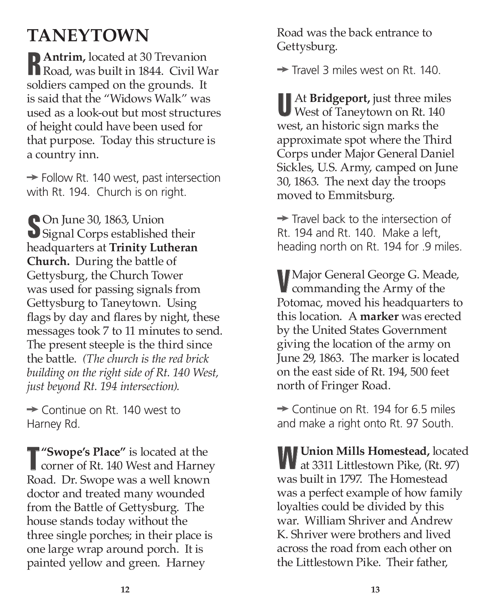## **TANEYTOWN**

**RAntrim,** located at 30 Trevanion Road, was built in 1844. Civil War soldiers camped on the grounds. It is said that the "Widows Walk" was used as a look-out but most structures of height could have been used for that purpose. Today this structure is a country inn.

 $\rightarrow$  Follow Rt. 140 west, past intersection with Rt. 194. Church is on right.

**S**On June 30, 1863, Union Signal Corps established their headquarters at **Trinity Lutheran Church.** During the battle of Gettysburg, the Church Tower was used for passing signals from Gettysburg to Taneytown. Using flags by day and flares by night, these messages took 7 to 11 minutes to send. The present steeple is the third since the battle. *(The church is the red brick building on the right side of Rt. 140 West, just beyond Rt. 194 intersection).*

 $\rightarrow$  Continue on Rt. 140 west to Harney Rd.

**T "Swope's Place"** is located at the corner of Rt. 140 West and Harney Road. Dr. Swope was a well known doctor and treated many wounded from the Battle of Gettysburg. The house stands today without the three single porches; in their place is one large wrap around porch. It is painted yellow and green. Harney

Road was the back entrance to Gettysburg.

 $\rightarrow$  Travel 3 miles west on Rt. 140.

**U**At **Bridgeport,** just three miles West of Taneytown on Rt. 140 west, an historic sign marks the approximate spot where the Third Corps under Major General Daniel Sickles, U.S. Army, camped on June 30, 1863. The next day the troops moved to Emmitsburg.

 $\rightarrow$  Travel back to the intersection of Rt. 194 and Rt. 140. Make a left, heading north on Rt. 194 for .9 miles.

**V**Major General George G. Meade, commanding the Army of the Potomac, moved his headquarters to this location. A **marker** was erected by the United States Government giving the location of the army on June 29, 1863. The marker is located on the east side of Rt. 194, 500 feet north of Fringer Road.

 $\rightarrow$  Continue on Rt. 194 for 6.5 miles and make a right onto Rt. 97 South.

**WUnion Mills Homestead, located TV** at 3311 Littlestown Pike, (Rt. 97) was built in 1797. The Homestead was a perfect example of how family loyalties could be divided by this war. William Shriver and Andrew K. Shriver were brothers and lived across the road from each other on the Littlestown Pike. Their father,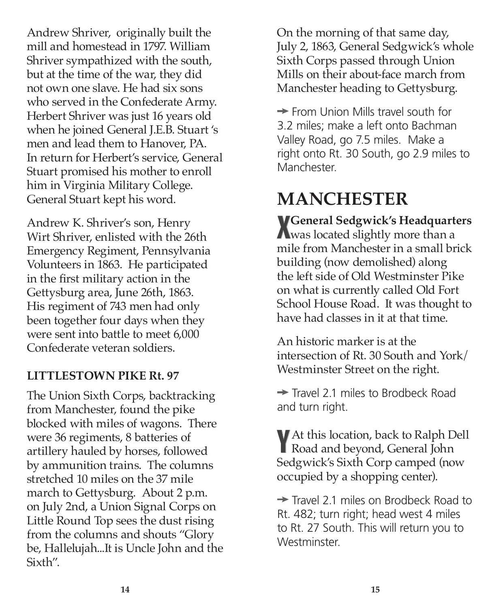Andrew Shriver, originally built the mill and homestead in 1797. William Shriver sympathized with the south, but at the time of the war, they did not own one slave. He had six sons who served in the Confederate Army. Herbert Shriver was just 16 years old when he joined General J.E.B. Stuart 's men and lead them to Hanover, PA. In return for Herbert's service, General Stuart promised his mother to enroll him in Virginia Military College. General Stuart kept his word.

Andrew K. Shriver's son, Henry Wirt Shriver, enlisted with the 26th Emergency Regiment, Pennsylvania Volunteers in 1863. He participated in the first military action in the Gettysburg area, June 26th, 1863. His regiment of 743 men had only been together four days when they were sent into battle to meet 6,000 Confederate veteran soldiers.

#### **LITTLESTOWN PIKE Rt. 97**

The Union Sixth Corps, backtracking from Manchester, found the pike blocked with miles of wagons. There were 36 regiments, 8 batteries of artillery hauled by horses, followed by ammunition trains. The columns stretched 10 miles on the 37 mile march to Gettysburg. About 2 p.m. on July 2nd, a Union Signal Corps on Little Round Top sees the dust rising from the columns and shouts "Glory be, Hallelujah...It is Uncle John and the Sixth".

On the morning of that same day, July 2, 1863, General Sedgwick's whole Sixth Corps passed through Union Mills on their about-face march from Manchester heading to Gettysburg.

 $\rightarrow$  From Union Mills travel south for 3.2 miles; make a left onto Bachman Valley Road, go 7.5 miles. Make a right onto Rt. 30 South, go 2.9 miles to **Manchester** 

## **MANCHESTER**

**X**<br>
Was located slightly more than a **General Sedgwick's Headquarters** mile from Manchester in a small brick building (now demolished) along the left side of Old Westminster Pike on what is currently called Old Fort School House Road. It was thought to have had classes in it at that time.

An historic marker is at the intersection of Rt. 30 South and York/ Westminster Street on the right.

 $\rightarrow$  Travel 2.1 miles to Brodbeck Road and turn right.

**Y**At this location, back to Ralph Dell Road and beyond, General John Sedgwick's Sixth Corp camped (now occupied by a shopping center).

 $\rightarrow$  Travel 2.1 miles on Brodbeck Road to Rt. 482; turn right; head west 4 miles to Rt. 27 South. This will return you to Westminster.